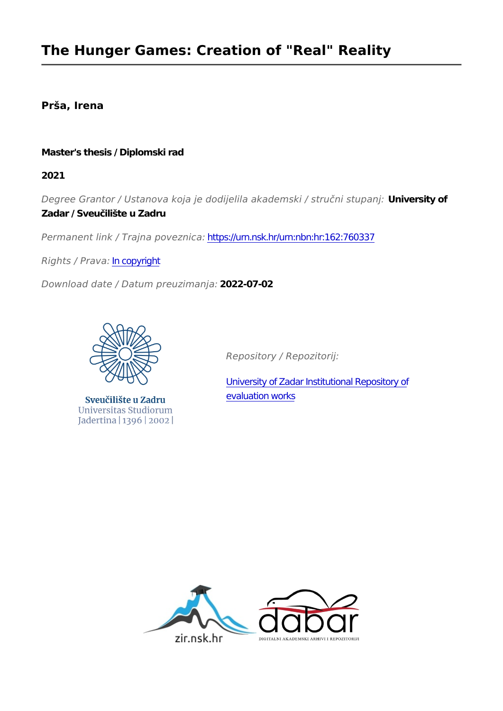## **Prša, Irena**

#### **Master's thesis / Diplomski rad**

**2021**

*Degree Grantor / Ustanova koja je dodijelila akademski / stručni stupanj:* **University of Zadar / Sveučilište u Zadru**

*Permanent link / Trajna poveznica:* <https://urn.nsk.hr/urn:nbn:hr:162:760337>

*Rights / Prava:* [In copyright](http://rightsstatements.org/vocab/InC/1.0/)

*Download date / Datum preuzimanja:* **2022-07-02**



Sveučilište u Zadru Universitas Studiorum Jadertina | 1396 | 2002 |

*Repository / Repozitorij:*

[University of Zadar Institutional Repository of](https://repozitorij.unizd.hr) [evaluation works](https://repozitorij.unizd.hr)

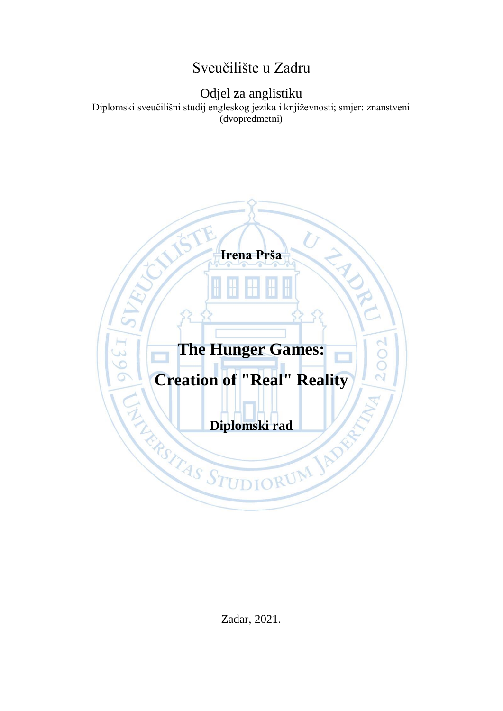# Sveučilište u Zadru

# Odjel za anglistiku

Diplomski sveučilišni studij engleskog jezika i književnosti; smjer: znanstveni (dvopredmetni)



Zadar, 2021.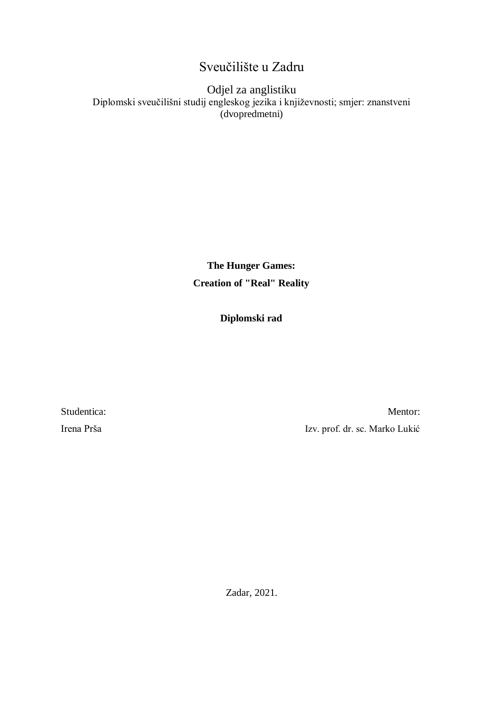# Sveučilište u Zadru

#### Odjel za anglistiku Diplomski sveučilišni studij engleskog jezika i književnosti; smjer: znanstveni (dvopredmetni)

**The Hunger Games: Creation of "Real" Reality**

#### **Diplomski rad**

Studentica: Mentor: Irena Prša Izv. prof. dr. sc. Marko Lukić

Zadar, 2021.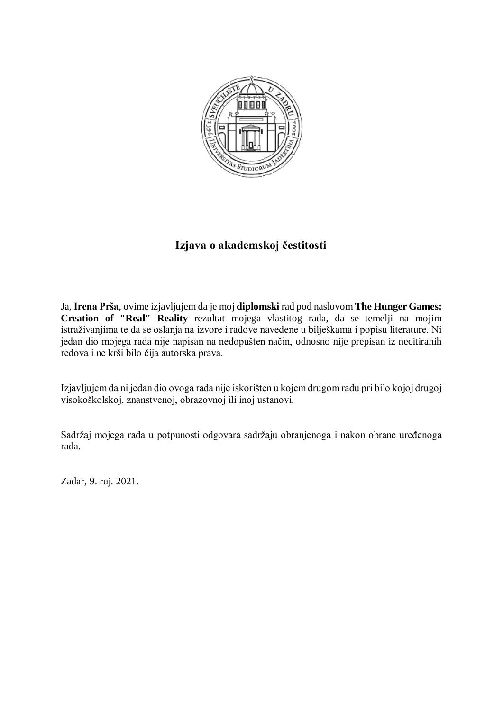

# **Izjava o akademskoj čestitosti**

Ja, **Irena Prša**, ovime izjavljujem da je moj **diplomski** rad pod naslovom **The Hunger Games: Creation of "Real" Reality** rezultat mojega vlastitog rada, da se temelji na mojim istraživanjima te da se oslanja na izvore i radove navedene u bilješkama i popisu literature. Ni jedan dio mojega rada nije napisan na nedopušten način, odnosno nije prepisan iz necitiranih redova i ne krši bilo čija autorska prava.

Izjavljujem da ni jedan dio ovoga rada nije iskorišten u kojem drugom radu pri bilo kojoj drugoj visokoškolskoj, znanstvenoj, obrazovnoj ili inoj ustanovi.

Sadržaj mojega rada u potpunosti odgovara sadržaju obranjenoga i nakon obrane uređenoga rada.

Zadar, 9. ruj. 2021.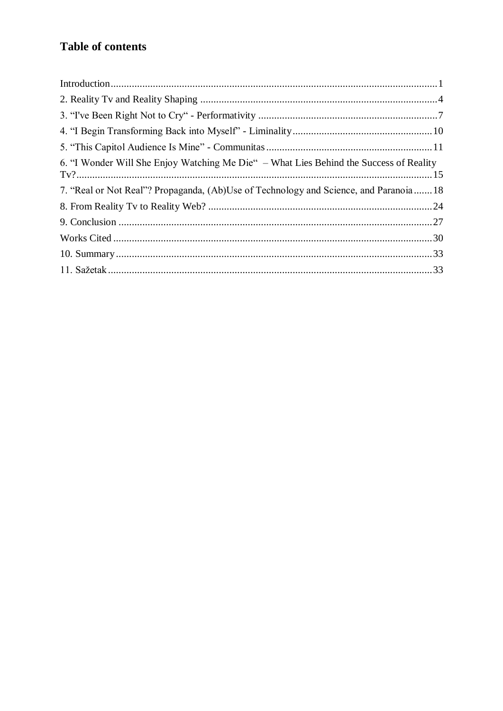# **Table of contents**

| 6. "I Wonder Will She Enjoy Watching Me Die" – What Lies Behind the Success of Reality |  |
|----------------------------------------------------------------------------------------|--|
| 7. "Real or Not Real"? Propaganda, (Ab)Use of Technology and Science, and Paranoia 18  |  |
|                                                                                        |  |
|                                                                                        |  |
|                                                                                        |  |
|                                                                                        |  |
|                                                                                        |  |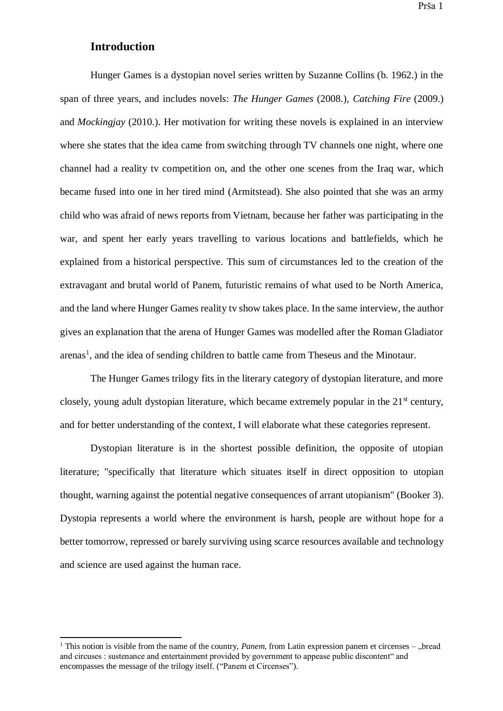#### <span id="page-5-0"></span>**Introduction**

 $\overline{a}$ 

Hunger Games is a dystopian novel series written by Suzanne Collins (b. 1962.) in the span of three years, and includes novels: *The Hunger Games* (2008.), *Catching Fire* (2009.) and *Mockingjay* (2010.). Her motivation for writing these novels is explained in an interview where she states that the idea came from switching through TV channels one night, where one channel had a reality tv competition on, and the other one scenes from the Iraq war, which became fused into one in her tired mind (Armitstead). She also pointed that she was an army child who was afraid of news reports from Vietnam, because her father was participating in the war, and spent her early years travelling to various locations and battlefields, which he explained from a historical perspective. This sum of circumstances led to the creation of the extravagant and brutal world of Panem, futuristic remains of what used to be North America, and the land where Hunger Games reality tv show takes place. In the same interview, the author gives an explanation that the arena of Hunger Games was modelled after the Roman Gladiator arenas<sup>1</sup>, and the idea of sending children to battle came from Theseus and the Minotaur.

The Hunger Games trilogy fits in the literary category of dystopian literature, and more closely, young adult dystopian literature, which became extremely popular in the  $21<sup>st</sup>$  century, and for better understanding of the context, I will elaborate what these categories represent.

Dystopian literature is in the shortest possible definition, the opposite of utopian literature; "specifically that literature which situates itself in direct opposition to utopian thought, warning against the potential negative consequences of arrant utopianism" (Booker 3). Dystopia represents a world where the environment is harsh, people are without hope for a better tomorrow, repressed or barely surviving using scarce resources available and technology and science are used against the human race.

 $1$  This notion is visible from the name of the country, *Panem*, from Latin expression panem et circenses – "bread and circuses : sustenance and entertainment provided by government to appease public discontent" and encompasses the message of the trilogy itself. ("Panem et Circenses").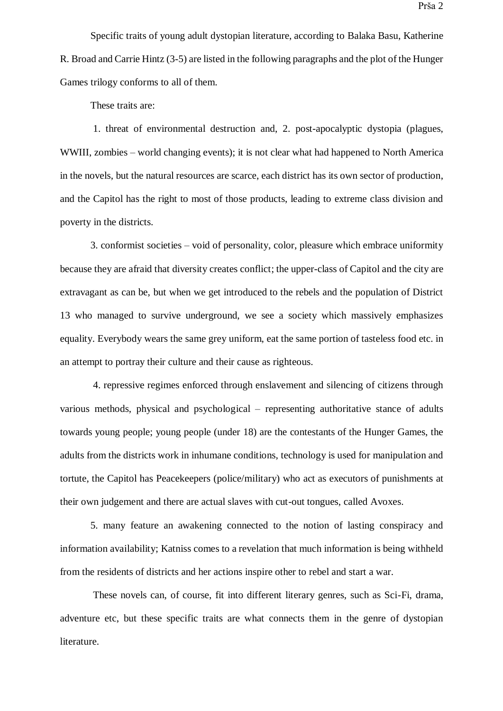Specific traits of young adult dystopian literature, according to Balaka Basu, Katherine R. Broad and Carrie Hintz (3-5) are listed in the following paragraphs and the plot of the Hunger Games trilogy conforms to all of them.

These traits are:

1. threat of environmental destruction and, 2. post-apocalyptic dystopia (plagues, WWIII, zombies – world changing events); it is not clear what had happened to North America in the novels, but the natural resources are scarce, each district has its own sector of production, and the Capitol has the right to most of those products, leading to extreme class division and poverty in the districts.

3. conformist societies – void of personality, color, pleasure which embrace uniformity because they are afraid that diversity creates conflict; the upper-class of Capitol and the city are extravagant as can be, but when we get introduced to the rebels and the population of District 13 who managed to survive underground, we see a society which massively emphasizes equality. Everybody wears the same grey uniform, eat the same portion of tasteless food etc. in an attempt to portray their culture and their cause as righteous.

4. repressive regimes enforced through enslavement and silencing of citizens through various methods, physical and psychological – representing authoritative stance of adults towards young people; young people (under 18) are the contestants of the Hunger Games, the adults from the districts work in inhumane conditions, technology is used for manipulation and tortute, the Capitol has Peacekeepers (police/military) who act as executors of punishments at their own judgement and there are actual slaves with cut-out tongues, called Avoxes.

5. many feature an awakening connected to the notion of lasting conspiracy and information availability; Katniss comes to a revelation that much information is being withheld from the residents of districts and her actions inspire other to rebel and start a war.

These novels can, of course, fit into different literary genres, such as Sci-Fi, drama, adventure etc, but these specific traits are what connects them in the genre of dystopian literature.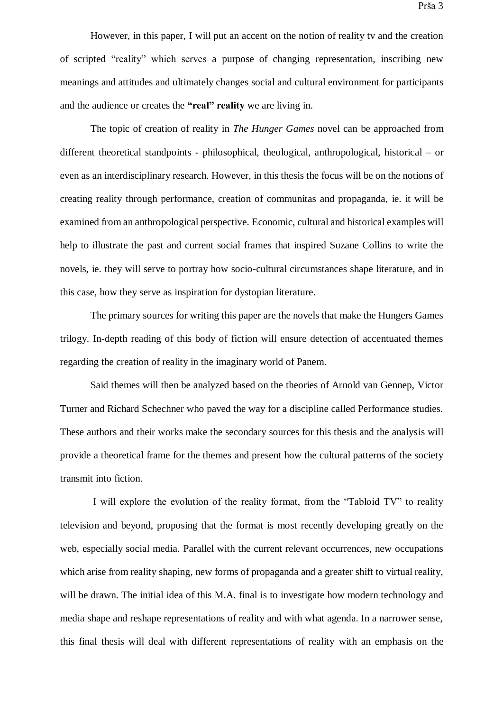Prša 3

However, in this paper, I will put an accent on the notion of reality tv and the creation of scripted "reality" which serves a purpose of changing representation, inscribing new meanings and attitudes and ultimately changes social and cultural environment for participants and the audience or creates the **"real" reality** we are living in.

The topic of creation of reality in *The Hunger Games* novel can be approached from different theoretical standpoints - philosophical, theological, anthropological, historical – or even as an interdisciplinary research. However, in this thesis the focus will be on the notions of creating reality through performance, creation of communitas and propaganda, ie. it will be examined from an anthropological perspective. Economic, cultural and historical examples will help to illustrate the past and current social frames that inspired Suzane Collins to write the novels, ie. they will serve to portray how socio-cultural circumstances shape literature, and in this case, how they serve as inspiration for dystopian literature.

The primary sources for writing this paper are the novels that make the Hungers Games trilogy. In-depth reading of this body of fiction will ensure detection of accentuated themes regarding the creation of reality in the imaginary world of Panem.

Said themes will then be analyzed based on the theories of Arnold van Gennep, Victor Turner and Richard Schechner who paved the way for a discipline called Performance studies. These authors and their works make the secondary sources for this thesis and the analysis will provide a theoretical frame for the themes and present how the cultural patterns of the society transmit into fiction.

I will explore the evolution of the reality format, from the "Tabloid TV" to reality television and beyond, proposing that the format is most recently developing greatly on the web, especially social media. Parallel with the current relevant occurrences, new occupations which arise from reality shaping, new forms of propaganda and a greater shift to virtual reality, will be drawn. The initial idea of this M.A. final is to investigate how modern technology and media shape and reshape representations of reality and with what agenda. In a narrower sense, this final thesis will deal with different representations of reality with an emphasis on the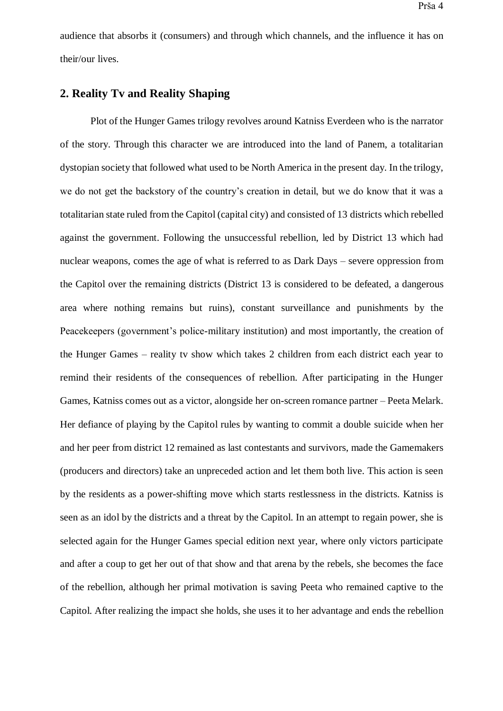audience that absorbs it (consumers) and through which channels, and the influence it has on their/our lives.

#### <span id="page-8-0"></span>**2. Reality Tv and Reality Shaping**

Plot of the Hunger Games trilogy revolves around Katniss Everdeen who is the narrator of the story. Through this character we are introduced into the land of Panem, a totalitarian dystopian society that followed what used to be North America in the present day. In the trilogy, we do not get the backstory of the country's creation in detail, but we do know that it was a totalitarian state ruled from the Capitol (capital city) and consisted of 13 districts which rebelled against the government. Following the unsuccessful rebellion, led by District 13 which had nuclear weapons, comes the age of what is referred to as Dark Days – severe oppression from the Capitol over the remaining districts (District 13 is considered to be defeated, a dangerous area where nothing remains but ruins), constant surveillance and punishments by the Peacekeepers (government's police-military institution) and most importantly, the creation of the Hunger Games – reality tv show which takes 2 children from each district each year to remind their residents of the consequences of rebellion. After participating in the Hunger Games, Katniss comes out as a victor, alongside her on-screen romance partner – Peeta Melark. Her defiance of playing by the Capitol rules by wanting to commit a double suicide when her and her peer from district 12 remained as last contestants and survivors, made the Gamemakers (producers and directors) take an unpreceded action and let them both live. This action is seen by the residents as a power-shifting move which starts restlessness in the districts. Katniss is seen as an idol by the districts and a threat by the Capitol. In an attempt to regain power, she is selected again for the Hunger Games special edition next year, where only victors participate and after a coup to get her out of that show and that arena by the rebels, she becomes the face of the rebellion, although her primal motivation is saving Peeta who remained captive to the Capitol. After realizing the impact she holds, she uses it to her advantage and ends the rebellion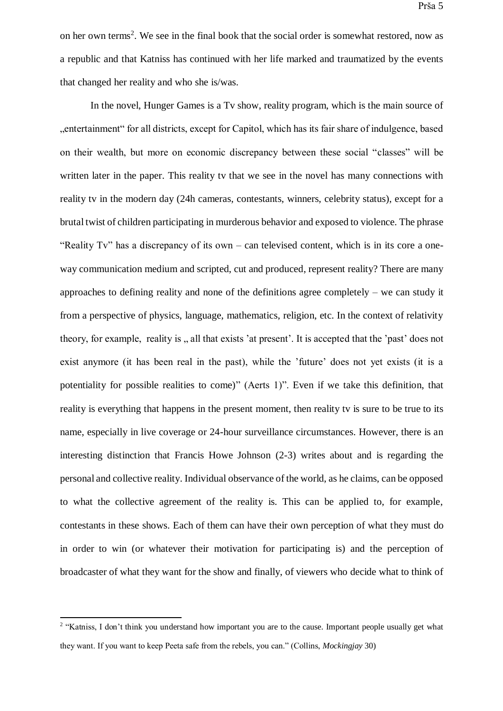on her own terms<sup>2</sup>. We see in the final book that the social order is somewhat restored, now as a republic and that Katniss has continued with her life marked and traumatized by the events that changed her reality and who she is/was.

In the novel, Hunger Games is a Tv show, reality program, which is the main source of "entertainment" for all districts, except for Capitol, which has its fair share of indulgence, based on their wealth, but more on economic discrepancy between these social "classes" will be written later in the paper. This reality tv that we see in the novel has many connections with reality tv in the modern day (24h cameras, contestants, winners, celebrity status), except for a brutal twist of children participating in murderous behavior and exposed to violence. The phrase "Reality Tv" has a discrepancy of its own – can televised content, which is in its core a oneway communication medium and scripted, cut and produced, represent reality? There are many approaches to defining reality and none of the definitions agree completely – we can study it from a perspective of physics, language, mathematics, religion, etc. In the context of relativity theory, for example, reality is , all that exists 'at present'. It is accepted that the 'past' does not exist anymore (it has been real in the past), while the 'future' does not yet exists (it is a potentiality for possible realities to come)" (Aerts 1)". Even if we take this definition, that reality is everything that happens in the present moment, then reality tv is sure to be true to its name, especially in live coverage or 24-hour surveillance circumstances. However, there is an interesting distinction that Francis Howe Johnson (2-3) writes about and is regarding the personal and collective reality. Individual observance of the world, as he claims, can be opposed to what the collective agreement of the reality is. This can be applied to, for example, contestants in these shows. Each of them can have their own perception of what they must do in order to win (or whatever their motivation for participating is) and the perception of broadcaster of what they want for the show and finally, of viewers who decide what to think of

 2 "Katniss, I don't think you understand how important you are to the cause. Important people usually get what they want. If you want to keep Peeta safe from the rebels, you can." (Collins, *Mockingjay* 30)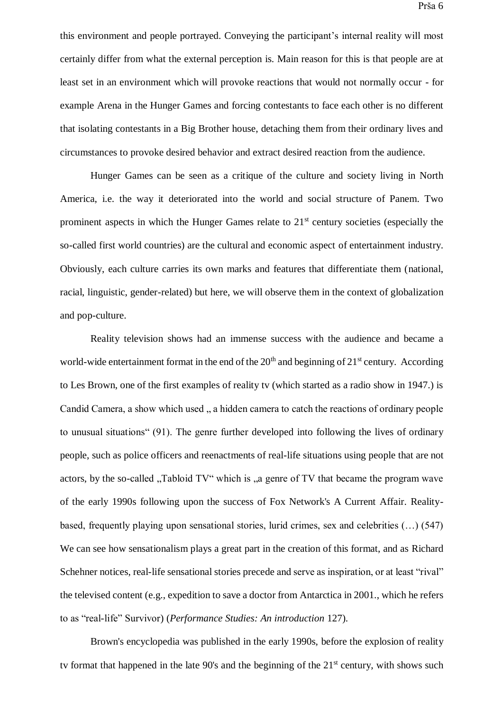this environment and people portrayed. Conveying the participant's internal reality will most certainly differ from what the external perception is. Main reason for this is that people are at least set in an environment which will provoke reactions that would not normally occur - for example Arena in the Hunger Games and forcing contestants to face each other is no different that isolating contestants in a Big Brother house, detaching them from their ordinary lives and circumstances to provoke desired behavior and extract desired reaction from the audience.

Hunger Games can be seen as a critique of the culture and society living in North America, i.e. the way it deteriorated into the world and social structure of Panem. Two prominent aspects in which the Hunger Games relate to  $21<sup>st</sup>$  century societies (especially the so-called first world countries) are the cultural and economic aspect of entertainment industry. Obviously, each culture carries its own marks and features that differentiate them (national, racial, linguistic, gender-related) but here, we will observe them in the context of globalization and pop-culture.

Reality television shows had an immense success with the audience and became a world-wide entertainment format in the end of the  $20<sup>th</sup>$  and beginning of  $21<sup>st</sup>$  century. According to Les Brown, one of the first examples of reality tv (which started as a radio show in 1947.) is Candid Camera, a show which used , a hidden camera to catch the reactions of ordinary people to unusual situations" (91). The genre further developed into following the lives of ordinary people, such as police officers and reenactments of real-life situations using people that are not actors, by the so-called "Tabloid TV" which is "a genre of TV that became the program wave of the early 1990s following upon the success of Fox Network's A Current Affair. Realitybased, frequently playing upon sensational stories, lurid crimes, sex and celebrities (…) (547) We can see how sensationalism plays a great part in the creation of this format, and as Richard Schehner notices, real-life sensational stories precede and serve as inspiration, or at least "rival" the televised content (e.g., expedition to save a doctor from Antarctica in 2001., which he refers to as "real-life" Survivor) (*Performance Studies: An introduction* 127).

Brown's encyclopedia was published in the early 1990s, before the explosion of reality tv format that happened in the late  $90$ 's and the beginning of the  $21<sup>st</sup>$  century, with shows such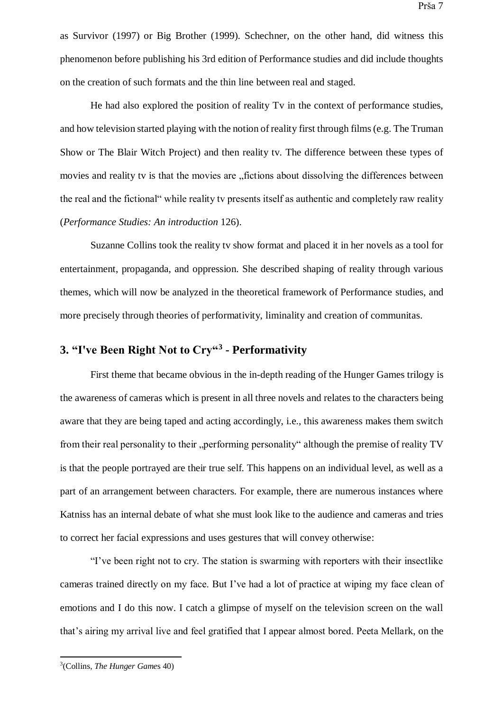as Survivor (1997) or Big Brother (1999). Schechner, on the other hand, did witness this phenomenon before publishing his 3rd edition of Performance studies and did include thoughts on the creation of such formats and the thin line between real and staged.

He had also explored the position of reality Tv in the context of performance studies, and how television started playing with the notion of reality first through films (e.g. The Truman Show or The Blair Witch Project) and then reality tv. The difference between these types of movies and reality tv is that the movies are "fictions about dissolving the differences between the real and the fictional" while reality tv presents itself as authentic and completely raw reality (*Performance Studies: An introduction* 126).

Suzanne Collins took the reality tv show format and placed it in her novels as a tool for entertainment, propaganda, and oppression. She described shaping of reality through various themes, which will now be analyzed in the theoretical framework of Performance studies, and more precisely through theories of performativity, liminality and creation of communitas.

### <span id="page-11-0"></span>**3. "I've Been Right Not to Cry"<sup>3</sup> - Performativity**

First theme that became obvious in the in-depth reading of the Hunger Games trilogy is the awareness of cameras which is present in all three novels and relates to the characters being aware that they are being taped and acting accordingly, i.e., this awareness makes them switch from their real personality to their "performing personality" although the premise of reality TV is that the people portrayed are their true self. This happens on an individual level, as well as a part of an arrangement between characters. For example, there are numerous instances where Katniss has an internal debate of what she must look like to the audience and cameras and tries to correct her facial expressions and uses gestures that will convey otherwise:

"I've been right not to cry. The station is swarming with reporters with their insectlike cameras trained directly on my face. But I've had a lot of practice at wiping my face clean of emotions and I do this now. I catch a glimpse of myself on the television screen on the wall that's airing my arrival live and feel gratified that I appear almost bored. Peeta Mellark, on the

<sup>3</sup> (Collins, *The Hunger Game*s 40)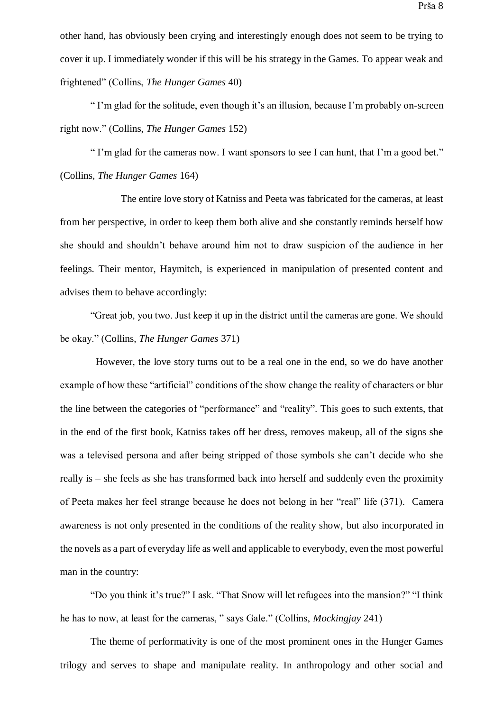other hand, has obviously been crying and interestingly enough does not seem to be trying to cover it up. I immediately wonder if this will be his strategy in the Games. To appear weak and frightened" (Collins, *The Hunger Games* 40)

" I'm glad for the solitude, even though it's an illusion, because I'm probably on-screen right now." (Collins, *The Hunger Games* 152)

" I'm glad for the cameras now. I want sponsors to see I can hunt, that I'm a good bet." (Collins, *The Hunger Games* 164)

The entire love story of Katniss and Peeta was fabricated for the cameras, at least from her perspective, in order to keep them both alive and she constantly reminds herself how she should and shouldn't behave around him not to draw suspicion of the audience in her feelings. Their mentor, Haymitch, is experienced in manipulation of presented content and advises them to behave accordingly:

"Great job, you two. Just keep it up in the district until the cameras are gone. We should be okay." (Collins, *The Hunger Games* 371)

However, the love story turns out to be a real one in the end, so we do have another example of how these "artificial" conditions of the show change the reality of characters or blur the line between the categories of "performance" and "reality". This goes to such extents, that in the end of the first book, Katniss takes off her dress, removes makeup, all of the signs she was a televised persona and after being stripped of those symbols she can't decide who she really is – she feels as she has transformed back into herself and suddenly even the proximity of Peeta makes her feel strange because he does not belong in her "real" life (371). Camera awareness is not only presented in the conditions of the reality show, but also incorporated in the novels as a part of everyday life as well and applicable to everybody, even the most powerful man in the country:

"Do you think it's true?" I ask. "That Snow will let refugees into the mansion?" "I think he has to now, at least for the cameras, " says Gale." (Collins, *Mockingjay* 241)

The theme of performativity is one of the most prominent ones in the Hunger Games trilogy and serves to shape and manipulate reality. In anthropology and other social and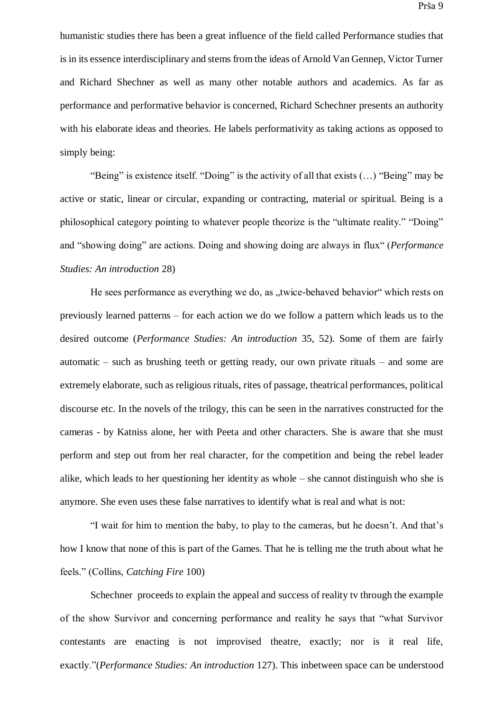humanistic studies there has been a great influence of the field called Performance studies that is in its essence interdisciplinary and stems from the ideas of Arnold Van Gennep, Victor Turner and Richard Shechner as well as many other notable authors and academics. As far as performance and performative behavior is concerned, Richard Schechner presents an authority with his elaborate ideas and theories. He labels performativity as taking actions as opposed to simply being:

"Being" is existence itself. "Doing" is the activity of all that exists (…) "Being" may be active or static, linear or circular, expanding or contracting, material or spiritual. Being is a philosophical category pointing to whatever people theorize is the "ultimate reality." "Doing" and "showing doing" are actions. Doing and showing doing are always in flux" (*Performance Studies: An introduction* 28)

He sees performance as everything we do, as .twice-behaved behavior which rests on previously learned patterns – for each action we do we follow a pattern which leads us to the desired outcome (*Performance Studies: An introduction* 35, 52). Some of them are fairly automatic – such as brushing teeth or getting ready, our own private rituals – and some are extremely elaborate, such as religious rituals, rites of passage, theatrical performances, political discourse etc. In the novels of the trilogy, this can be seen in the narratives constructed for the cameras - by Katniss alone, her with Peeta and other characters. She is aware that she must perform and step out from her real character, for the competition and being the rebel leader alike, which leads to her questioning her identity as whole – she cannot distinguish who she is anymore. She even uses these false narratives to identify what is real and what is not:

"I wait for him to mention the baby, to play to the cameras, but he doesn't. And that's how I know that none of this is part of the Games. That he is telling me the truth about what he feels." (Collins, *Catching Fire* 100)

Schechner proceeds to explain the appeal and success of reality tv through the example of the show Survivor and concerning performance and reality he says that "what Survivor contestants are enacting is not improvised theatre, exactly; nor is it real life, exactly."(*Performance Studies: An introduction* 127). This inbetween space can be understood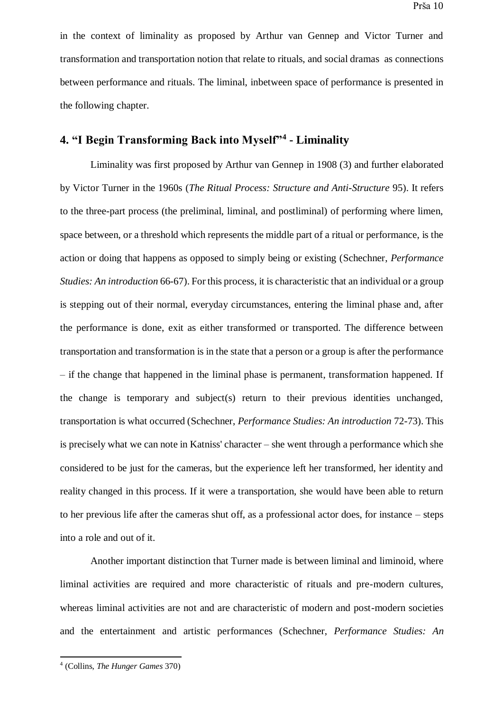in the context of liminality as proposed by Arthur van Gennep and Victor Turner and transformation and transportation notion that relate to rituals, and social dramas as connections between performance and rituals. The liminal, inbetween space of performance is presented in the following chapter.

### <span id="page-14-0"></span>**4. "I Begin Transforming Back into Myself"<sup>4</sup> - Liminality**

Liminality was first proposed by Arthur van Gennep in 1908 (3) and further elaborated by Victor Turner in the 1960s (*The Ritual Process: Structure and Anti-Structure* 95). It refers to the three-part process (the preliminal, liminal, and postliminal) of performing where limen, space between, or a threshold which represents the middle part of a ritual or performance, is the action or doing that happens as opposed to simply being or existing (Schechner, *Performance Studies: An introduction* 66-67). For this process, it is characteristic that an individual or a group is stepping out of their normal, everyday circumstances, entering the liminal phase and, after the performance is done, exit as either transformed or transported. The difference between transportation and transformation is in the state that a person or a group is after the performance – if the change that happened in the liminal phase is permanent, transformation happened. If the change is temporary and subject(s) return to their previous identities unchanged, transportation is what occurred (Schechner, *Performance Studies: An introduction* 72-73). This is precisely what we can note in Katniss' character – she went through a performance which she considered to be just for the cameras, but the experience left her transformed, her identity and reality changed in this process. If it were a transportation, she would have been able to return to her previous life after the cameras shut off, as a professional actor does, for instance – steps into a role and out of it.

Another important distinction that Turner made is between liminal and liminoid, where liminal activities are required and more characteristic of rituals and pre-modern cultures, whereas liminal activities are not and are characteristic of modern and post-modern societies and the entertainment and artistic performances (Schechner, *Performance Studies: An* 

<sup>4</sup> (Collins, *The Hunger Games* 370)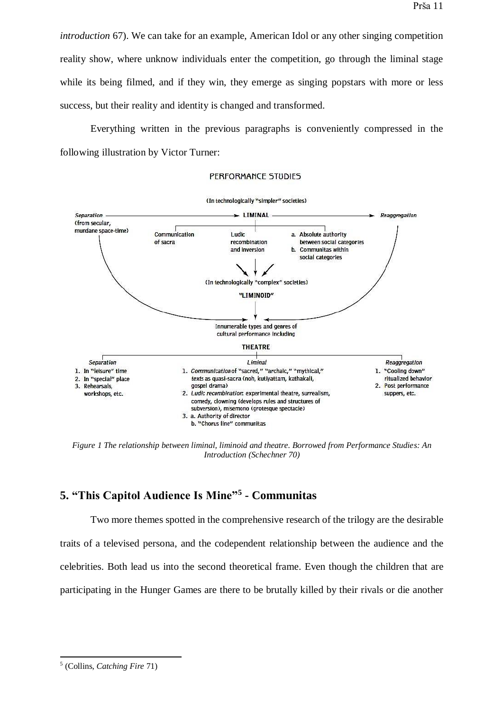*introduction* 67). We can take for an example, American Idol or any other singing competition reality show, where unknow individuals enter the competition, go through the liminal stage while its being filmed, and if they win, they emerge as singing popstars with more or less success, but their reality and identity is changed and transformed.

Everything written in the previous paragraphs is conveniently compressed in the following illustration by Victor Turner:

#### PERFORMANCE STUDIES



*Figure 1 The relationship between liminal, liminoid and theatre. Borrowed from Performance Studies: An Introduction (Schechner 70)*

### <span id="page-15-0"></span>**5. "This Capitol Audience Is Mine"<sup>5</sup> - Communitas**

Two more themes spotted in the comprehensive research of the trilogy are the desirable traits of a televised persona, and the codependent relationship between the audience and the celebrities. Both lead us into the second theoretical frame. Even though the children that are participating in the Hunger Games are there to be brutally killed by their rivals or die another

<sup>5</sup> (Collins, *Catching Fire* 71)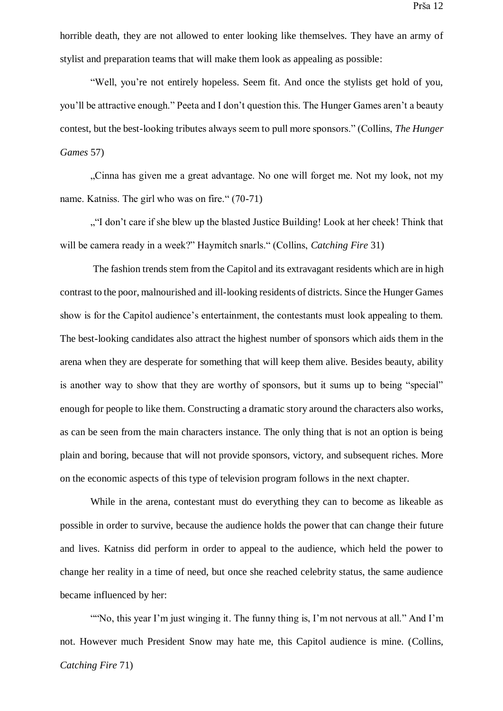horrible death, they are not allowed to enter looking like themselves. They have an army of stylist and preparation teams that will make them look as appealing as possible:

"Well, you're not entirely hopeless. Seem fit. And once the stylists get hold of you, you'll be attractive enough." Peeta and I don't question this. The Hunger Games aren't a beauty contest, but the best-looking tributes always seem to pull more sponsors." (Collins, *The Hunger Games* 57)

..Cinna has given me a great advantage. No one will forget me. Not my look, not my name. Katniss. The girl who was on fire." (70-71)

""I don't care if she blew up the blasted Justice Building! Look at her cheek! Think that will be camera ready in a week?" Haymitch snarls." (Collins, *Catching Fire* 31)

The fashion trends stem from the Capitol and its extravagant residents which are in high contrast to the poor, malnourished and ill-looking residents of districts. Since the Hunger Games show is for the Capitol audience's entertainment, the contestants must look appealing to them. The best-looking candidates also attract the highest number of sponsors which aids them in the arena when they are desperate for something that will keep them alive. Besides beauty, ability is another way to show that they are worthy of sponsors, but it sums up to being "special" enough for people to like them. Constructing a dramatic story around the characters also works, as can be seen from the main characters instance. The only thing that is not an option is being plain and boring, because that will not provide sponsors, victory, and subsequent riches. More on the economic aspects of this type of television program follows in the next chapter.

While in the arena, contestant must do everything they can to become as likeable as possible in order to survive, because the audience holds the power that can change their future and lives. Katniss did perform in order to appeal to the audience, which held the power to change her reality in a time of need, but once she reached celebrity status, the same audience became influenced by her:

""No, this year I'm just winging it. The funny thing is, I'm not nervous at all." And I'm not. However much President Snow may hate me, this Capitol audience is mine. (Collins, *Catching Fire* 71)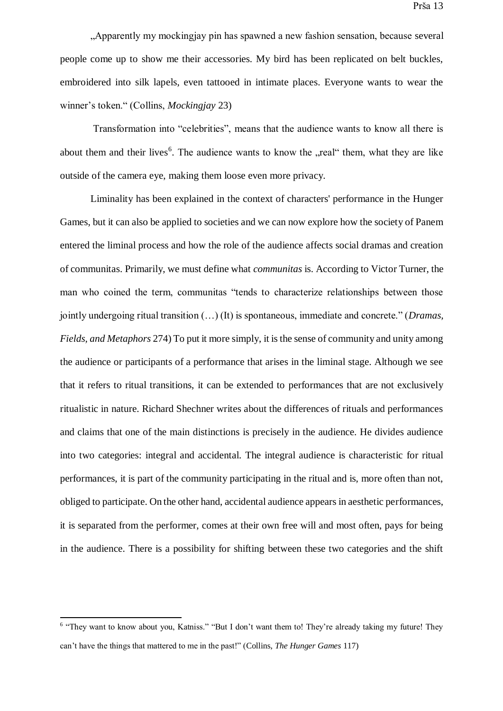"Apparently my mockingjay pin has spawned a new fashion sensation, because several people come up to show me their accessories. My bird has been replicated on belt buckles, embroidered into silk lapels, even tattooed in intimate places. Everyone wants to wear the winner's token." (Collins, *Mockingjay* 23)

Transformation into "celebrities", means that the audience wants to know all there is about them and their lives<sup>6</sup>. The audience wants to know the "real" them, what they are like outside of the camera eye, making them loose even more privacy.

Liminality has been explained in the context of characters' performance in the Hunger Games, but it can also be applied to societies and we can now explore how the society of Panem entered the liminal process and how the role of the audience affects social dramas and creation of communitas. Primarily, we must define what *communitas* is. According to Victor Turner, the man who coined the term, communitas "tends to characterize relationships between those jointly undergoing ritual transition (…) (It) is spontaneous, immediate and concrete." (*Dramas, Fields, and Metaphors* 274) To put it more simply, it is the sense of community and unity among the audience or participants of a performance that arises in the liminal stage. Although we see that it refers to ritual transitions, it can be extended to performances that are not exclusively ritualistic in nature. Richard Shechner writes about the differences of rituals and performances and claims that one of the main distinctions is precisely in the audience. He divides audience into two categories: integral and accidental. The integral audience is characteristic for ritual performances, it is part of the community participating in the ritual and is, more often than not, obliged to participate. On the other hand, accidental audience appears in aesthetic performances, it is separated from the performer, comes at their own free will and most often, pays for being in the audience. There is a possibility for shifting between these two categories and the shift

<sup>&</sup>lt;sup>6</sup> "They want to know about you, Katniss." "But I don't want them to! They're already taking my future! They can't have the things that mattered to me in the past!" (Collins, *The Hunger Games* 117)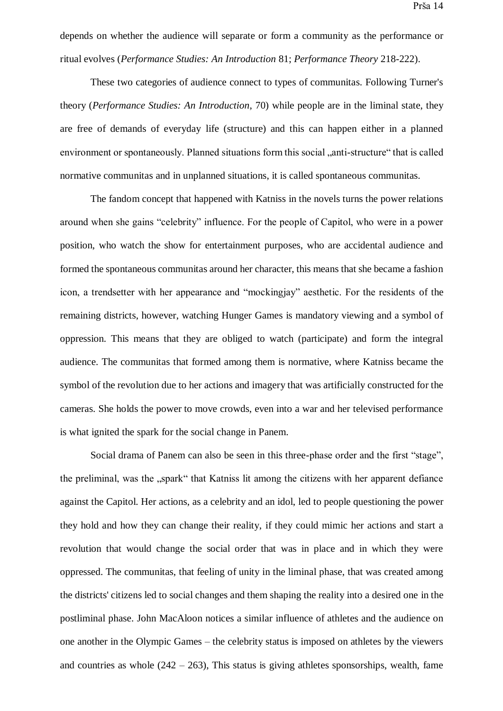depends on whether the audience will separate or form a community as the performance or ritual evolves (*Performance Studies: An Introduction* 81; *Performance Theory* 218-222).

These two categories of audience connect to types of communitas. Following Turner's theory (*Performance Studies: An Introduction*, 70) while people are in the liminal state, they are free of demands of everyday life (structure) and this can happen either in a planned environment or spontaneously. Planned situations form this social "anti-structure" that is called normative communitas and in unplanned situations, it is called spontaneous communitas.

The fandom concept that happened with Katniss in the novels turns the power relations around when she gains "celebrity" influence. For the people of Capitol, who were in a power position, who watch the show for entertainment purposes, who are accidental audience and formed the spontaneous communitas around her character, this means that she became a fashion icon, a trendsetter with her appearance and "mockingjay" aesthetic. For the residents of the remaining districts, however, watching Hunger Games is mandatory viewing and a symbol of oppression. This means that they are obliged to watch (participate) and form the integral audience. The communitas that formed among them is normative, where Katniss became the symbol of the revolution due to her actions and imagery that was artificially constructed for the cameras. She holds the power to move crowds, even into a war and her televised performance is what ignited the spark for the social change in Panem.

Social drama of Panem can also be seen in this three-phase order and the first "stage", the preliminal, was the "spark" that Katniss lit among the citizens with her apparent defiance against the Capitol. Her actions, as a celebrity and an idol, led to people questioning the power they hold and how they can change their reality, if they could mimic her actions and start a revolution that would change the social order that was in place and in which they were oppressed. The communitas, that feeling of unity in the liminal phase, that was created among the districts' citizens led to social changes and them shaping the reality into a desired one in the postliminal phase. John MacAloon notices a similar influence of athletes and the audience on one another in the Olympic Games – the celebrity status is imposed on athletes by the viewers and countries as whole  $(242 – 263)$ , This status is giving athletes sponsorships, wealth, fame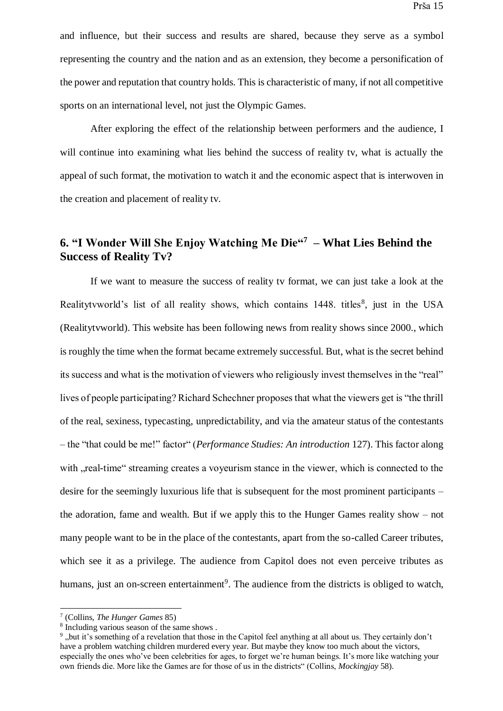and influence, but their success and results are shared, because they serve as a symbol representing the country and the nation and as an extension, they become a personification of the power and reputation that country holds. This is characteristic of many, if not all competitive sports on an international level, not just the Olympic Games.

After exploring the effect of the relationship between performers and the audience, I will continue into examining what lies behind the success of reality tv, what is actually the appeal of such format, the motivation to watch it and the economic aspect that is interwoven in the creation and placement of reality tv.

### <span id="page-19-0"></span>**6. "I Wonder Will She Enjoy Watching Me Die"<sup>7</sup> – What Lies Behind the Success of Reality Tv?**

If we want to measure the success of reality tv format, we can just take a look at the Realitytvworld's list of all reality shows, which contains 1448. titles<sup>8</sup>, just in the USA (Realitytvworld). This website has been following news from reality shows since 2000., which is roughly the time when the format became extremely successful. But, what is the secret behind its success and what is the motivation of viewers who religiously invest themselves in the "real" lives of people participating? Richard Schechner proposes that what the viewers get is "the thrill of the real, sexiness, typecasting, unpredictability, and via the amateur status of the contestants – the "that could be me!" factor" (*Performance Studies: An introduction* 127). This factor along with , real-time" streaming creates a voyeurism stance in the viewer, which is connected to the desire for the seemingly luxurious life that is subsequent for the most prominent participants – the adoration, fame and wealth. But if we apply this to the Hunger Games reality show – not many people want to be in the place of the contestants, apart from the so-called Career tributes, which see it as a privilege. The audience from Capitol does not even perceive tributes as humans, just an on-screen entertainment<sup>9</sup>. The audience from the districts is obliged to watch,

<sup>7</sup> (Collins, *The Hunger Games* 85)

<sup>8</sup> Including various season of the same shows .

<sup>9</sup> "but it's something of a revelation that those in the Capitol feel anything at all about us. They certainly don't have a problem watching children murdered every year. But maybe they know too much about the victors, especially the ones who've been celebrities for ages, to forget we're human beings. It's more like watching your own friends die. More like the Games are for those of us in the districts" (Collins, *Mockingjay* 58).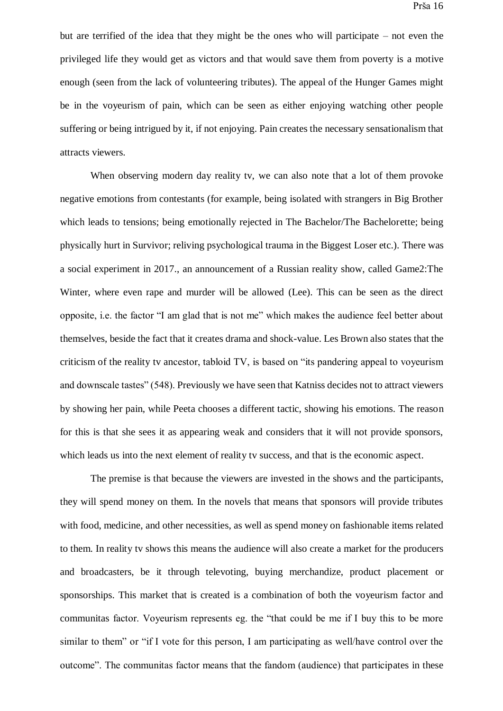but are terrified of the idea that they might be the ones who will participate – not even the privileged life they would get as victors and that would save them from poverty is a motive enough (seen from the lack of volunteering tributes). The appeal of the Hunger Games might be in the voyeurism of pain, which can be seen as either enjoying watching other people suffering or being intrigued by it, if not enjoying. Pain creates the necessary sensationalism that attracts viewers.

When observing modern day reality ty, we can also note that a lot of them provoke negative emotions from contestants (for example, being isolated with strangers in Big Brother which leads to tensions; being emotionally rejected in The Bachelor/The Bachelorette; being physically hurt in Survivor; reliving psychological trauma in the Biggest Loser etc.). There was a social experiment in 2017., an announcement of a Russian reality show, called Game2:The Winter, where even rape and murder will be allowed (Lee). This can be seen as the direct opposite, i.e. the factor "I am glad that is not me" which makes the audience feel better about themselves, beside the fact that it creates drama and shock-value. Les Brown also states that the criticism of the reality tv ancestor, tabloid TV, is based on "its pandering appeal to voyeurism and downscale tastes" (548). Previously we have seen that Katniss decides not to attract viewers by showing her pain, while Peeta chooses a different tactic, showing his emotions. The reason for this is that she sees it as appearing weak and considers that it will not provide sponsors, which leads us into the next element of reality tv success, and that is the economic aspect.

The premise is that because the viewers are invested in the shows and the participants, they will spend money on them. In the novels that means that sponsors will provide tributes with food, medicine, and other necessities, as well as spend money on fashionable items related to them. In reality tv shows this means the audience will also create a market for the producers and broadcasters, be it through televoting, buying merchandize, product placement or sponsorships. This market that is created is a combination of both the voyeurism factor and communitas factor. Voyeurism represents eg. the "that could be me if I buy this to be more similar to them" or "if I vote for this person, I am participating as well/have control over the outcome". The communitas factor means that the fandom (audience) that participates in these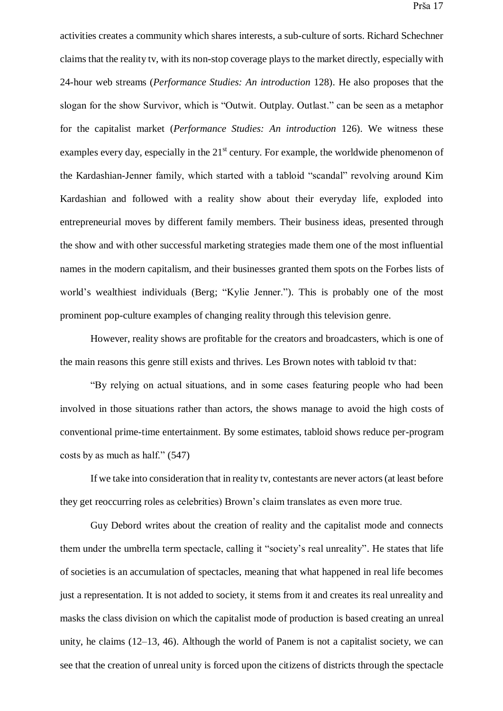activities creates a community which shares interests, a sub-culture of sorts. Richard Schechner claims that the reality tv, with its non-stop coverage plays to the market directly, especially with 24-hour web streams (*Performance Studies: An introduction* 128). He also proposes that the slogan for the show Survivor, which is "Outwit. Outplay. Outlast." can be seen as a metaphor for the capitalist market (*Performance Studies: An introduction* 126). We witness these examples every day, especially in the  $21<sup>st</sup>$  century. For example, the worldwide phenomenon of the Kardashian-Jenner family, which started with a tabloid "scandal" revolving around Kim Kardashian and followed with a reality show about their everyday life, exploded into entrepreneurial moves by different family members. Their business ideas, presented through the show and with other successful marketing strategies made them one of the most influential names in the modern capitalism, and their businesses granted them spots on the Forbes lists of world's wealthiest individuals (Berg; "Kylie Jenner."). This is probably one of the most prominent pop-culture examples of changing reality through this television genre.

However, reality shows are profitable for the creators and broadcasters, which is one of the main reasons this genre still exists and thrives. Les Brown notes with tabloid tv that:

"By relying on actual situations, and in some cases featuring people who had been involved in those situations rather than actors, the shows manage to avoid the high costs of conventional prime-time entertainment. By some estimates, tabloid shows reduce per-program costs by as much as half." (547)

If we take into consideration that in reality tv, contestants are never actors (at least before they get reoccurring roles as celebrities) Brown's claim translates as even more true.

Guy Debord writes about the creation of reality and the capitalist mode and connects them under the umbrella term spectacle, calling it "society's real unreality". He states that life of societies is an accumulation of spectacles, meaning that what happened in real life becomes just a representation. It is not added to society, it stems from it and creates its real unreality and masks the class division on which the capitalist mode of production is based creating an unreal unity, he claims (12–13, 46). Although the world of Panem is not a capitalist society, we can see that the creation of unreal unity is forced upon the citizens of districts through the spectacle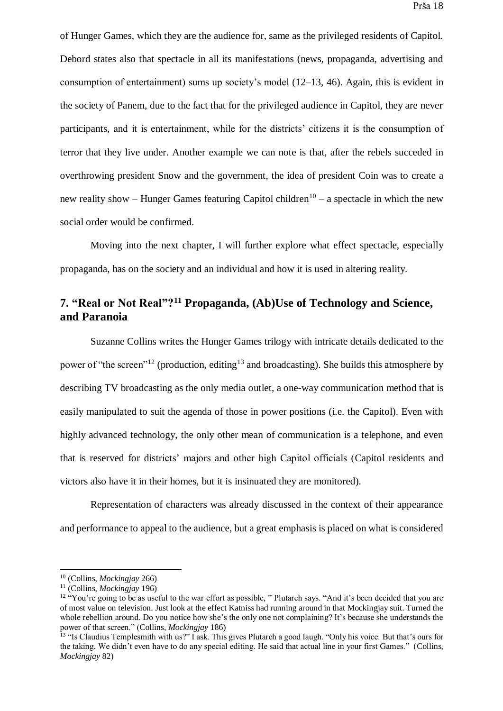of Hunger Games, which they are the audience for, same as the privileged residents of Capitol. Debord states also that spectacle in all its manifestations (news, propaganda, advertising and consumption of entertainment) sums up society's model (12–13, 46). Again, this is evident in the society of Panem, due to the fact that for the privileged audience in Capitol, they are never participants, and it is entertainment, while for the districts' citizens it is the consumption of terror that they live under. Another example we can note is that, after the rebels succeded in overthrowing president Snow and the government, the idea of president Coin was to create a new reality show – Hunger Games featuring Capitol children<sup>10</sup> – a spectacle in which the new social order would be confirmed.

Moving into the next chapter, I will further explore what effect spectacle, especially propaganda, has on the society and an individual and how it is used in altering reality.

# <span id="page-22-0"></span>**7. "Real or Not Real"?<sup>11</sup> Propaganda, (Ab)Use of Technology and Science, and Paranoia**

Suzanne Collins writes the Hunger Games trilogy with intricate details dedicated to the power of "the screen"<sup>12</sup> (production, editing<sup>13</sup> and broadcasting). She builds this atmosphere by describing TV broadcasting as the only media outlet, a one-way communication method that is easily manipulated to suit the agenda of those in power positions (i.e. the Capitol). Even with highly advanced technology, the only other mean of communication is a telephone, and even that is reserved for districts' majors and other high Capitol officials (Capitol residents and victors also have it in their homes, but it is insinuated they are monitored).

Representation of characters was already discussed in the context of their appearance and performance to appeal to the audience, but a great emphasis is placed on what is considered

<sup>10</sup> (Collins, *Mockingjay* 266)

<sup>11</sup> (Collins, *Mockingjay* 196)

<sup>&</sup>lt;sup>12</sup> "You're going to be as useful to the war effort as possible, " Plutarch says. "And it's been decided that you are of most value on television. Just look at the effect Katniss had running around in that Mockingjay suit. Turned the whole rebellion around. Do you notice how she's the only one not complaining? It's because she understands the power of that screen." (Collins, *Mockingjay* 186)

<sup>&</sup>lt;sup>13</sup> "Is Claudius Templesmith with us?" I ask. This gives Plutarch a good laugh. "Only his voice. But that's ours for the taking. We didn't even have to do any special editing. He said that actual line in your first Games." (Collins, *Mockingjay* 82)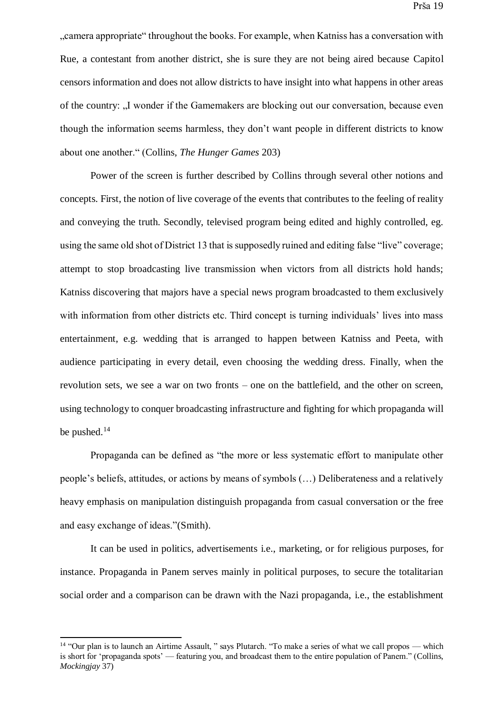..camera appropriate throughout the books. For example, when Katniss has a conversation with Rue, a contestant from another district, she is sure they are not being aired because Capitol censors information and does not allow districts to have insight into what happens in other areas of the country: "I wonder if the Gamemakers are blocking out our conversation, because even though the information seems harmless, they don't want people in different districts to know about one another." (Collins, *The Hunger Games* 203)

Power of the screen is further described by Collins through several other notions and concepts. First, the notion of live coverage of the events that contributes to the feeling of reality and conveying the truth. Secondly, televised program being edited and highly controlled, eg. using the same old shot of District 13 that is supposedly ruined and editing false "live" coverage; attempt to stop broadcasting live transmission when victors from all districts hold hands; Katniss discovering that majors have a special news program broadcasted to them exclusively with information from other districts etc. Third concept is turning individuals' lives into mass entertainment, e.g. wedding that is arranged to happen between Katniss and Peeta, with audience participating in every detail, even choosing the wedding dress. Finally, when the revolution sets, we see a war on two fronts – one on the battlefield, and the other on screen, using technology to conquer broadcasting infrastructure and fighting for which propaganda will be pushed.<sup>14</sup>

Propaganda can be defined as "the more or less systematic effort to manipulate other people's beliefs, attitudes, or actions by means of symbols (…) Deliberateness and a relatively heavy emphasis on manipulation distinguish propaganda from casual conversation or the free and easy exchange of ideas."(Smith).

It can be used in politics, advertisements i.e., marketing, or for religious purposes, for instance. Propaganda in Panem serves mainly in political purposes, to secure the totalitarian social order and a comparison can be drawn with the Nazi propaganda, i.e., the establishment

<sup>&</sup>lt;sup>14</sup> "Our plan is to launch an Airtime Assault, " says Plutarch. "To make a series of what we call propos — which is short for 'propaganda spots' — featuring you, and broadcast them to the entire population of Panem." (Collins, *Mockingjay* 37)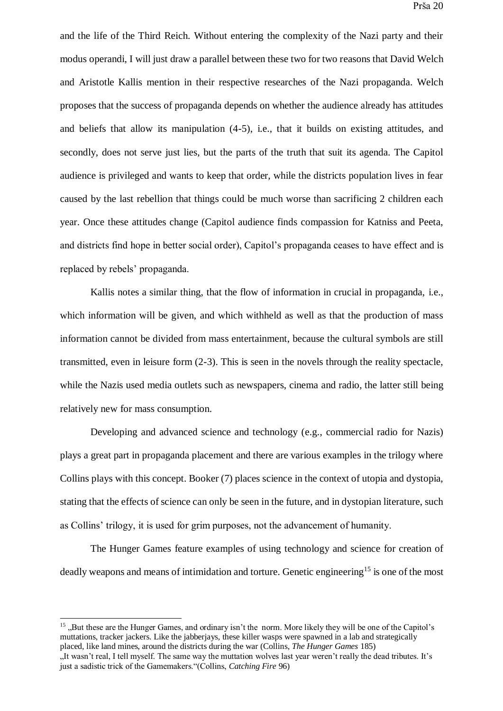and the life of the Third Reich. Without entering the complexity of the Nazi party and their modus operandi, I will just draw a parallel between these two for two reasons that David Welch and Aristotle Kallis mention in their respective researches of the Nazi propaganda. Welch proposes that the success of propaganda depends on whether the audience already has attitudes and beliefs that allow its manipulation (4-5), i.e., that it builds on existing attitudes, and secondly, does not serve just lies, but the parts of the truth that suit its agenda. The Capitol audience is privileged and wants to keep that order, while the districts population lives in fear caused by the last rebellion that things could be much worse than sacrificing 2 children each year. Once these attitudes change (Capitol audience finds compassion for Katniss and Peeta, and districts find hope in better social order), Capitol's propaganda ceases to have effect and is replaced by rebels' propaganda.

Kallis notes a similar thing, that the flow of information in crucial in propaganda, i.e., which information will be given, and which withheld as well as that the production of mass information cannot be divided from mass entertainment, because the cultural symbols are still transmitted, even in leisure form (2-3). This is seen in the novels through the reality spectacle, while the Nazis used media outlets such as newspapers, cinema and radio, the latter still being relatively new for mass consumption.

Developing and advanced science and technology (e.g., commercial radio for Nazis) plays a great part in propaganda placement and there are various examples in the trilogy where Collins plays with this concept. Booker (7) places science in the context of utopia and dystopia, stating that the effects of science can only be seen in the future, and in dystopian literature, such as Collins' trilogy, it is used for grim purposes, not the advancement of humanity.

The Hunger Games feature examples of using technology and science for creation of deadly weapons and means of intimidation and torture. Genetic engineering<sup>15</sup> is one of the most

<sup>&</sup>lt;sup>15</sup>, But these are the Hunger Games, and ordinary isn't the norm. More likely they will be one of the Capitol's muttations, tracker jackers. Like the jabberjays, these killer wasps were spawned in a lab and strategically placed, like land mines, around the districts during the war (Collins, *The Hunger Games* 185) "It wasn't real, I tell myself. The same way the muttation wolves last year weren't really the dead tributes. It's just a sadistic trick of the Gamemakers."(Collins, *Catching Fire* 96)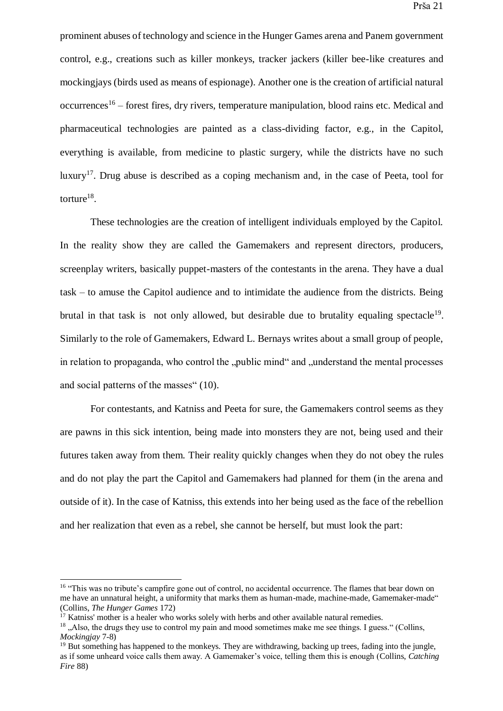prominent abuses of technology and science in the Hunger Games arena and Panem government control, e.g., creations such as killer monkeys, tracker jackers (killer bee-like creatures and mockingjays (birds used as means of espionage). Another one is the creation of artificial natural occurrences<sup>16</sup> – forest fires, dry rivers, temperature manipulation, blood rains etc. Medical and pharmaceutical technologies are painted as a class-dividing factor, e.g., in the Capitol, everything is available, from medicine to plastic surgery, while the districts have no such luxury<sup>17</sup>. Drug abuse is described as a coping mechanism and, in the case of Peeta, tool for torture $^{18}$ .

These technologies are the creation of intelligent individuals employed by the Capitol. In the reality show they are called the Gamemakers and represent directors, producers, screenplay writers, basically puppet-masters of the contestants in the arena. They have a dual task – to amuse the Capitol audience and to intimidate the audience from the districts. Being brutal in that task is not only allowed, but desirable due to brutality equaling spectacle<sup>19</sup>. Similarly to the role of Gamemakers, Edward L. Bernays writes about a small group of people, in relation to propaganda, who control the "public mind" and "understand the mental processes and social patterns of the masses" (10).

For contestants, and Katniss and Peeta for sure, the Gamemakers control seems as they are pawns in this sick intention, being made into monsters they are not, being used and their futures taken away from them. Their reality quickly changes when they do not obey the rules and do not play the part the Capitol and Gamemakers had planned for them (in the arena and outside of it). In the case of Katniss, this extends into her being used as the face of the rebellion and her realization that even as a rebel, she cannot be herself, but must look the part:

<sup>&</sup>lt;sup>16</sup> "This was no tribute's campfire gone out of control, no accidental occurrence. The flames that bear down on me have an unnatural height, a uniformity that marks them as human-made, machine-made, Gamemaker-made" (Collins, *The Hunger Games* 172)

 $17$  Katniss' mother is a healer who works solely with herbs and other available natural remedies.

<sup>&</sup>lt;sup>18</sup> . Also, the drugs they use to control my pain and mood sometimes make me see things. I guess. " (Collins, *Mockingjay* 7-8)

<sup>&</sup>lt;sup>19</sup> But something has happened to the monkeys. They are withdrawing, backing up trees, fading into the jungle, as if some unheard voice calls them away. A Gamemaker's voice, telling them this is enough (Collins, *Catching Fire* 88)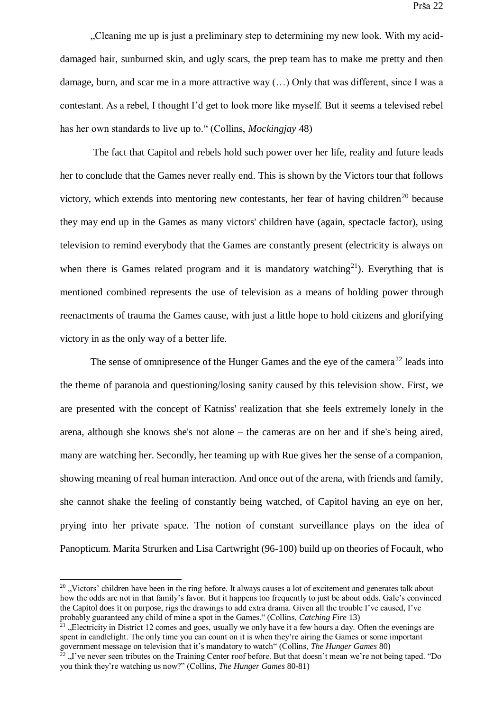...Cleaning me up is just a preliminary step to determining my new look. With my aciddamaged hair, sunburned skin, and ugly scars, the prep team has to make me pretty and then damage, burn, and scar me in a more attractive way (…) Only that was different, since I was a contestant. As a rebel, I thought I'd get to look more like myself. But it seems a televised rebel has her own standards to live up to." (Collins, *Mockingjay* 48)

The fact that Capitol and rebels hold such power over her life, reality and future leads her to conclude that the Games never really end. This is shown by the Victors tour that follows victory, which extends into mentoring new contestants, her fear of having children<sup>20</sup> because they may end up in the Games as many victors' children have (again, spectacle factor), using television to remind everybody that the Games are constantly present (electricity is always on when there is Games related program and it is mandatory watching<sup>21</sup>). Everything that is mentioned combined represents the use of television as a means of holding power through reenactments of trauma the Games cause, with just a little hope to hold citizens and glorifying victory in as the only way of a better life.

The sense of omnipresence of the Hunger Games and the eye of the camera<sup>22</sup> leads into the theme of paranoia and questioning/losing sanity caused by this television show. First, we are presented with the concept of Katniss' realization that she feels extremely lonely in the arena, although she knows she's not alone – the cameras are on her and if she's being aired, many are watching her. Secondly, her teaming up with Rue gives her the sense of a companion, showing meaning of real human interaction. And once out of the arena, with friends and family, she cannot shake the feeling of constantly being watched, of Capitol having an eye on her, prying into her private space. The notion of constant surveillance plays on the idea of Panopticum. Marita Strurken and Lisa Cartwright (96-100) build up on theories of Focault, who

 $20$  "Victors' children have been in the ring before. It always causes a lot of excitement and generates talk about how the odds are not in that family's favor. But it happens too frequently to just be about odds. Gale's convinced the Capitol does it on purpose, rigs the drawings to add extra drama. Given all the trouble I've caused, I've probably guaranteed any child of mine a spot in the Games." (Collins, *Catching Fire* 13)

<sup>&</sup>quot;Electricity in District 12 comes and goes, usually we only have it a few hours a day. Often the evenings are spent in candlelight. The only time you can count on it is when they're airing the Games or some important government message on television that it's mandatory to watch" (Collins, *The Hunger Games* 80)<br><sup>22</sup> Eive never seen tributes on the Training Center roof before. But that doesn't mean we're not be

<sup>&</sup>quot;I've never seen tributes on the Training Center roof before. But that doesn't mean we're not being taped. "Do you think they're watching us now?" (Collins, *The Hunger Games* 80-81)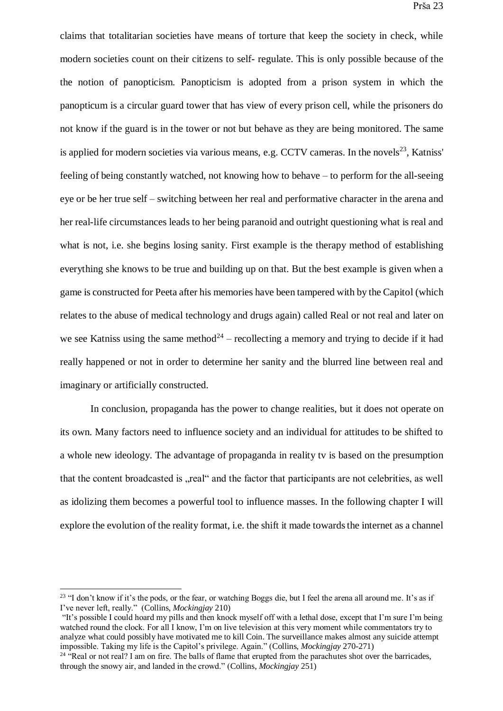claims that totalitarian societies have means of torture that keep the society in check, while modern societies count on their citizens to self- regulate. This is only possible because of the the notion of panopticism. Panopticism is adopted from a prison system in which the panopticum is a circular guard tower that has view of every prison cell, while the prisoners do not know if the guard is in the tower or not but behave as they are being monitored. The same is applied for modern societies via various means, e.g. CCTV cameras. In the novels $^{23}$ , Katniss' feeling of being constantly watched, not knowing how to behave – to perform for the all-seeing eye or be her true self – switching between her real and performative character in the arena and her real-life circumstances leads to her being paranoid and outright questioning what is real and what is not, i.e. she begins losing sanity. First example is the therapy method of establishing everything she knows to be true and building up on that. But the best example is given when a game is constructed for Peeta after his memories have been tampered with by the Capitol (which relates to the abuse of medical technology and drugs again) called Real or not real and later on we see Katniss using the same method<sup>24</sup> – recollecting a memory and trying to decide if it had really happened or not in order to determine her sanity and the blurred line between real and imaginary or artificially constructed.

In conclusion, propaganda has the power to change realities, but it does not operate on its own. Many factors need to influence society and an individual for attitudes to be shifted to a whole new ideology. The advantage of propaganda in reality tv is based on the presumption that the content broadcasted is "real" and the factor that participants are not celebrities, as well as idolizing them becomes a powerful tool to influence masses. In the following chapter I will explore the evolution of the reality format, i.e. the shift it made towards the internet as a channel

<sup>&</sup>lt;sup>23</sup> "I don't know if it's the pods, or the fear, or watching Boggs die, but I feel the arena all around me. It's as if I've never left, really." (Collins, *Mockingjay* 210)

<sup>&</sup>quot;It's possible I could hoard my pills and then knock myself off with a lethal dose, except that I'm sure I'm being watched round the clock. For all I know, I'm on live television at this very moment while commentators try to analyze what could possibly have motivated me to kill Coin. The surveillance makes almost any suicide attempt impossible. Taking my life is the Capitol's privilege. Again." (Collins, *Mockingjay* 270-271)

<sup>&</sup>lt;sup>24</sup> "Real or not real? I am on fire. The balls of flame that erupted from the parachutes shot over the barricades, through the snowy air, and landed in the crowd." (Collins, *Mockingjay* 251)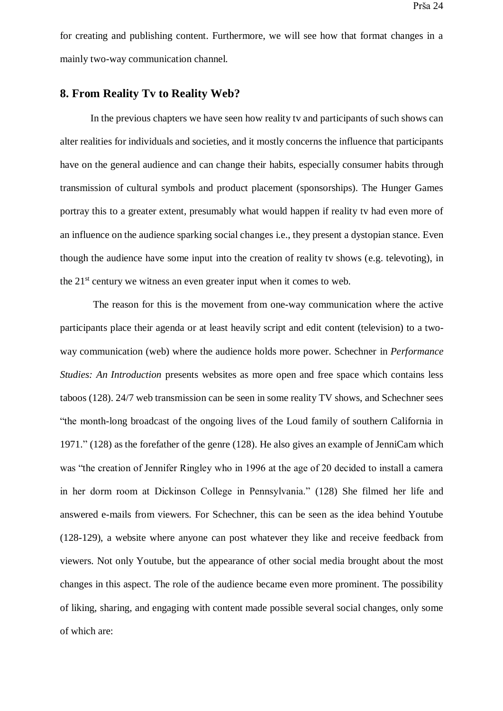for creating and publishing content. Furthermore, we will see how that format changes in a mainly two-way communication channel.

#### <span id="page-28-0"></span>**8. From Reality Tv to Reality Web?**

In the previous chapters we have seen how reality tv and participants of such shows can alter realities for individuals and societies, and it mostly concerns the influence that participants have on the general audience and can change their habits, especially consumer habits through transmission of cultural symbols and product placement (sponsorships). The Hunger Games portray this to a greater extent, presumably what would happen if reality tv had even more of an influence on the audience sparking social changes i.e., they present a dystopian stance. Even though the audience have some input into the creation of reality tv shows (e.g. televoting), in the  $21<sup>st</sup>$  century we witness an even greater input when it comes to web.

The reason for this is the movement from one-way communication where the active participants place their agenda or at least heavily script and edit content (television) to a twoway communication (web) where the audience holds more power. Schechner in *Performance Studies: An Introduction* presents websites as more open and free space which contains less taboos (128). 24/7 web transmission can be seen in some reality TV shows, and Schechner sees "the month-long broadcast of the ongoing lives of the Loud family of southern California in 1971." (128) as the forefather of the genre (128). He also gives an example of JenniCam which was "the creation of Jennifer Ringley who in 1996 at the age of 20 decided to install a camera in her dorm room at Dickinson College in Pennsylvania." (128) She filmed her life and answered e-mails from viewers. For Schechner, this can be seen as the idea behind Youtube (128-129), a website where anyone can post whatever they like and receive feedback from viewers. Not only Youtube, but the appearance of other social media brought about the most changes in this aspect. The role of the audience became even more prominent. The possibility of liking, sharing, and engaging with content made possible several social changes, only some of which are: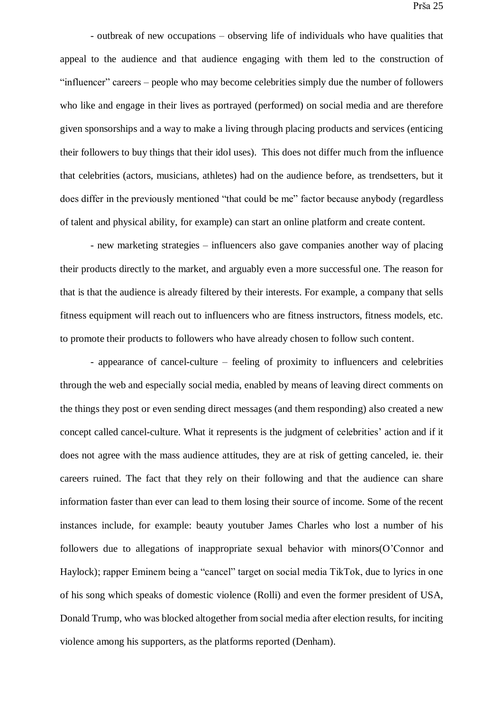- outbreak of new occupations – observing life of individuals who have qualities that appeal to the audience and that audience engaging with them led to the construction of "influencer" careers – people who may become celebrities simply due the number of followers who like and engage in their lives as portrayed (performed) on social media and are therefore given sponsorships and a way to make a living through placing products and services (enticing their followers to buy things that their idol uses). This does not differ much from the influence that celebrities (actors, musicians, athletes) had on the audience before, as trendsetters, but it does differ in the previously mentioned "that could be me" factor because anybody (regardless of talent and physical ability, for example) can start an online platform and create content.

- new marketing strategies – influencers also gave companies another way of placing their products directly to the market, and arguably even a more successful one. The reason for that is that the audience is already filtered by their interests. For example, a company that sells fitness equipment will reach out to influencers who are fitness instructors, fitness models, etc. to promote their products to followers who have already chosen to follow such content.

- appearance of cancel-culture – feeling of proximity to influencers and celebrities through the web and especially social media, enabled by means of leaving direct comments on the things they post or even sending direct messages (and them responding) also created a new concept called cancel-culture. What it represents is the judgment of celebrities' action and if it does not agree with the mass audience attitudes, they are at risk of getting canceled, ie. their careers ruined. The fact that they rely on their following and that the audience can share information faster than ever can lead to them losing their source of income. Some of the recent instances include, for example: beauty youtuber James Charles who lost a number of his followers due to allegations of inappropriate sexual behavior with minors(O'Connor and Haylock); rapper Eminem being a "cancel" target on social media TikTok, due to lyrics in one of his song which speaks of domestic violence (Rolli) and even the former president of USA, Donald Trump, who was blocked altogether from social media after election results, for inciting violence among his supporters, as the platforms reported (Denham).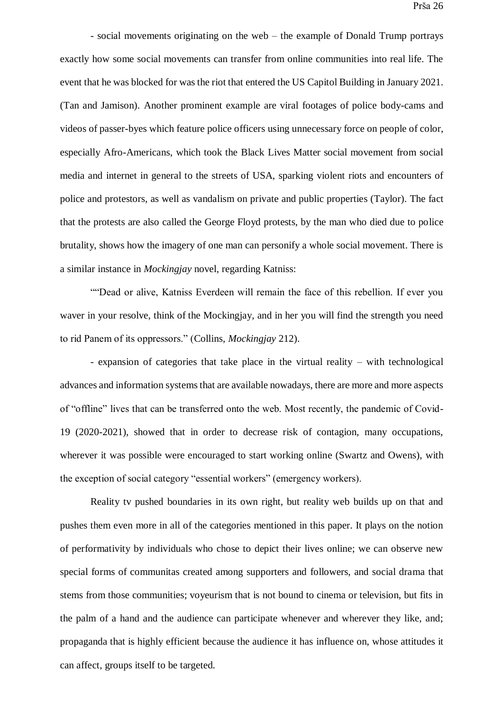- social movements originating on the web – the example of Donald Trump portrays exactly how some social movements can transfer from online communities into real life. The event that he was blocked for was the riot that entered the US Capitol Building in January 2021. (Tan and Jamison). Another prominent example are viral footages of police body-cams and videos of passer-byes which feature police officers using unnecessary force on people of color, especially Afro-Americans, which took the Black Lives Matter social movement from social media and internet in general to the streets of USA, sparking violent riots and encounters of police and protestors, as well as vandalism on private and public properties (Taylor). The fact that the protests are also called the George Floyd protests, by the man who died due to police brutality, shows how the imagery of one man can personify a whole social movement. There is a similar instance in *Mockingjay* novel, regarding Katniss:

""Dead or alive, Katniss Everdeen will remain the face of this rebellion. If ever you waver in your resolve, think of the Mockingjay, and in her you will find the strength you need to rid Panem of its oppressors." (Collins, *Mockingjay* 212).

- expansion of categories that take place in the virtual reality – with technological advances and information systems that are available nowadays, there are more and more aspects of "offline" lives that can be transferred onto the web. Most recently, the pandemic of Covid-19 (2020-2021), showed that in order to decrease risk of contagion, many occupations, wherever it was possible were encouraged to start working online (Swartz and Owens), with the exception of social category "essential workers" (emergency workers).

Reality tv pushed boundaries in its own right, but reality web builds up on that and pushes them even more in all of the categories mentioned in this paper. It plays on the notion of performativity by individuals who chose to depict their lives online; we can observe new special forms of communitas created among supporters and followers, and social drama that stems from those communities; voyeurism that is not bound to cinema or television, but fits in the palm of a hand and the audience can participate whenever and wherever they like, and; propaganda that is highly efficient because the audience it has influence on, whose attitudes it can affect, groups itself to be targeted.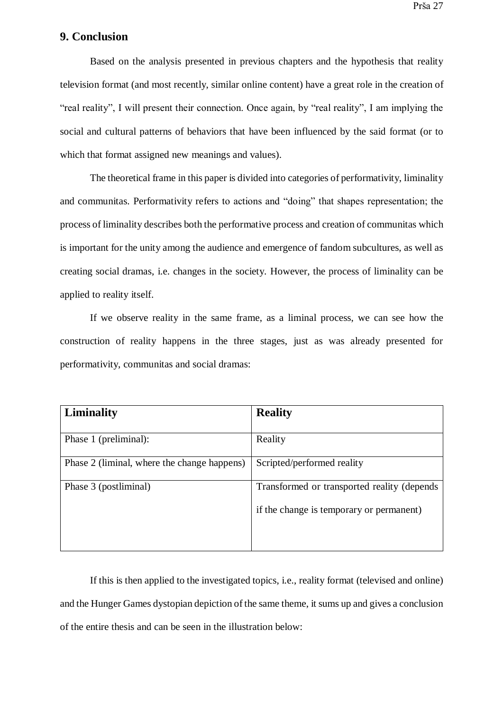### <span id="page-31-0"></span>**9. Conclusion**

Based on the analysis presented in previous chapters and the hypothesis that reality television format (and most recently, similar online content) have a great role in the creation of "real reality", I will present their connection. Once again, by "real reality", I am implying the social and cultural patterns of behaviors that have been influenced by the said format (or to which that format assigned new meanings and values).

The theoretical frame in this paper is divided into categories of performativity, liminality and communitas. Performativity refers to actions and "doing" that shapes representation; the process of liminality describes both the performative process and creation of communitas which is important for the unity among the audience and emergence of fandom subcultures, as well as creating social dramas, i.e. changes in the society. However, the process of liminality can be applied to reality itself.

If we observe reality in the same frame, as a liminal process, we can see how the construction of reality happens in the three stages, just as was already presented for performativity, communitas and social dramas:

| Liminality                                  | <b>Reality</b>                               |
|---------------------------------------------|----------------------------------------------|
|                                             |                                              |
| Phase 1 (preliminal):                       | Reality                                      |
| Phase 2 (liminal, where the change happens) | Scripted/performed reality                   |
| Phase 3 (postliminal)                       | Transformed or transported reality (depends) |
|                                             | if the change is temporary or permanent)     |
|                                             |                                              |

If this is then applied to the investigated topics, i.e., reality format (televised and online) and the Hunger Games dystopian depiction of the same theme, it sums up and gives a conclusion of the entire thesis and can be seen in the illustration below: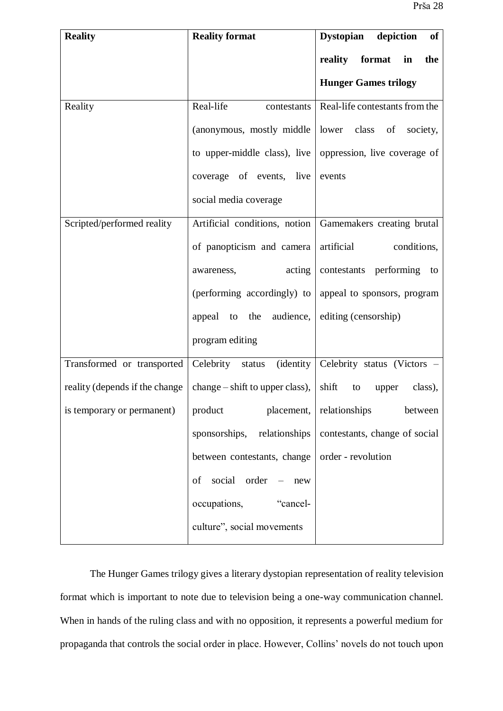| <b>Reality</b>                 | <b>Reality format</b>                      | <b>Dystopian</b><br>depiction<br>of                       |
|--------------------------------|--------------------------------------------|-----------------------------------------------------------|
|                                |                                            | reality<br>format<br>$\mathbf{in}$<br>the                 |
|                                |                                            | <b>Hunger Games trilogy</b>                               |
| Reality                        | Real-life<br>contestants                   | Real-life contestants from the                            |
|                                | (anonymous, mostly middle   lower class of | society,                                                  |
|                                |                                            | to upper-middle class), live oppression, live coverage of |
|                                | coverage of events, live                   | events                                                    |
|                                | social media coverage                      |                                                           |
| Scripted/performed reality     | Artificial conditions, notion              | Gamemakers creating brutal                                |
|                                | of panopticism and camera                  | artificial<br>conditions,                                 |
|                                | acting<br>awareness,                       | contestants performing to                                 |
|                                | (performing accordingly) to                | appeal to sponsors, program                               |
|                                | appeal to the audience,                    | editing (censorship)                                      |
|                                | program editing                            |                                                           |
| Transformed or transported     | (identity<br>Celebrity status              | Celebrity status (Victors -                               |
| reality (depends if the change | $change - shift$ to upper class),          | shift<br>class),<br>to<br>upper                           |
| is temporary or permanent)     | product placement,                         | relationships<br>between                                  |
|                                | sponsorships,<br>relationships             | contestants, change of social                             |
|                                | between contestants, change                | order - revolution                                        |
|                                | social<br>order<br>of<br>new               |                                                           |
|                                | occupations,<br>"cancel-                   |                                                           |
|                                | culture", social movements                 |                                                           |

The Hunger Games trilogy gives a literary dystopian representation of reality television format which is important to note due to television being a one-way communication channel. When in hands of the ruling class and with no opposition, it represents a powerful medium for propaganda that controls the social order in place. However, Collins' novels do not touch upon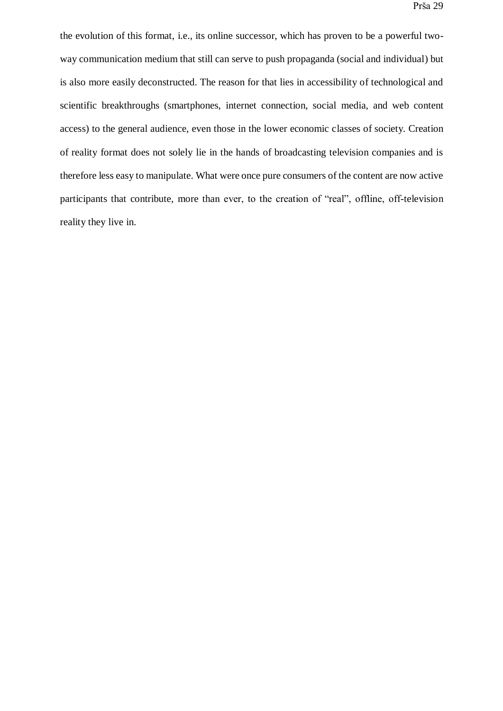the evolution of this format, i.e., its online successor, which has proven to be a powerful twoway communication medium that still can serve to push propaganda (social and individual) but is also more easily deconstructed. The reason for that lies in accessibility of technological and scientific breakthroughs (smartphones, internet connection, social media, and web content access) to the general audience, even those in the lower economic classes of society. Creation of reality format does not solely lie in the hands of broadcasting television companies and is therefore less easy to manipulate. What were once pure consumers of the content are now active participants that contribute, more than ever, to the creation of "real", offline, off-television reality they live in.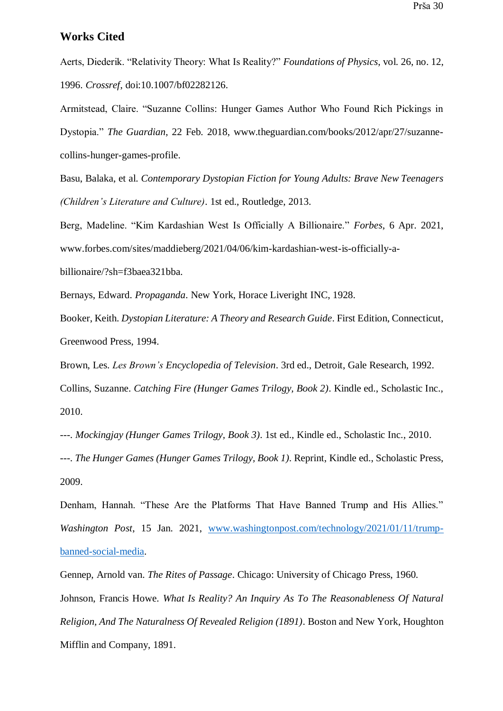#### <span id="page-34-0"></span>**Works Cited**

Aerts, Diederik. "Relativity Theory: What Is Reality?" *Foundations of Physics*, vol. 26, no. 12, 1996. *Crossref*, doi:10.1007/bf02282126.

Armitstead, Claire. "Suzanne Collins: Hunger Games Author Who Found Rich Pickings in Dystopia." *The Guardian*, 22 Feb. 2018, www.theguardian.com/books/2012/apr/27/suzannecollins-hunger-games-profile.

Basu, Balaka, et al. *Contemporary Dystopian Fiction for Young Adults: Brave New Teenagers (Children's Literature and Culture)*. 1st ed., Routledge, 2013.

Berg, Madeline. "Kim Kardashian West Is Officially A Billionaire." *Forbes*, 6 Apr. 2021, www.forbes.com/sites/maddieberg/2021/04/06/kim-kardashian-west-is-officially-a-

billionaire/?sh=f3baea321bba.

Bernays, Edward. *Propaganda*. New York, Horace Liveright INC, 1928.

Booker, Keith. *Dystopian Literature: A Theory and Research Guide*. First Edition, Connecticut, Greenwood Press, 1994.

Brown, Les. *Les Brown's Encyclopedia of Television*. 3rd ed., Detroit, Gale Research, 1992. Collins, Suzanne. *Catching Fire (Hunger Games Trilogy, Book 2)*. Kindle ed., Scholastic Inc., 2010.

---. *Mockingjay (Hunger Games Trilogy, Book 3)*. 1st ed., Kindle ed., Scholastic Inc., 2010.

---. *The Hunger Games (Hunger Games Trilogy, Book 1)*. Reprint, Kindle ed., Scholastic Press, 2009.

Denham, Hannah. "These Are the Platforms That Have Banned Trump and His Allies." *Washington Post*, 15 Jan. 2021, [www.washingtonpost.com/technology/2021/01/11/trump](http://www.washingtonpost.com/technology/2021/01/11/trump-banned-social-media)[banned-social-media.](http://www.washingtonpost.com/technology/2021/01/11/trump-banned-social-media)

Gennep, Arnold van. *The Rites of Passage*. Chicago: University of Chicago Press, 1960. Johnson, Francis Howe. *What Is Reality? An Inquiry As To The Reasonableness Of Natural Religion, And The Naturalness Of Revealed Religion (1891)*. Boston and New York, Houghton Mifflin and Company, 1891.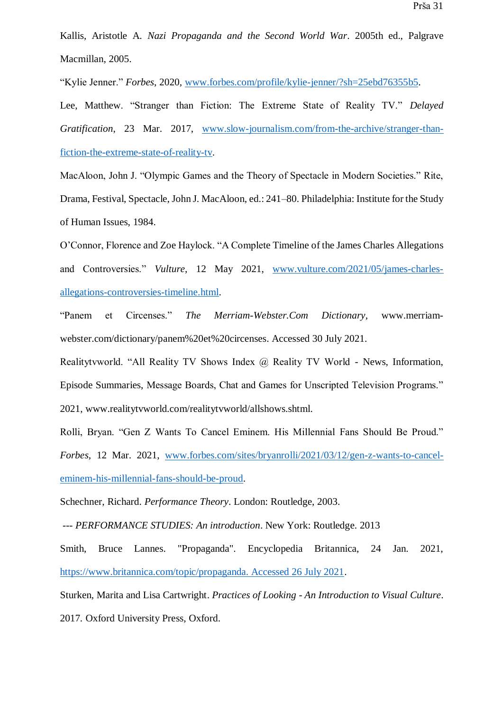Kallis, Aristotle A. *Nazi Propaganda and the Second World War*. 2005th ed., Palgrave Macmillan, 2005.

"Kylie Jenner." *Forbes*, 2020, [www.forbes.com/profile/kylie-jenner/?sh=25ebd76355b5.](http://www.forbes.com/profile/kylie-jenner/?sh=25ebd76355b5)

Lee, Matthew. "Stranger than Fiction: The Extreme State of Reality TV." *Delayed Gratification*, 23 Mar. 2017, [www.slow-journalism.com/from-the-archive/stranger-than](http://www.slow-journalism.com/from-the-archive/stranger-than-fiction-the-extreme-state-of-reality-tv)[fiction-the-extreme-state-of-reality-tv.](http://www.slow-journalism.com/from-the-archive/stranger-than-fiction-the-extreme-state-of-reality-tv)

MacAloon, John J. "Olympic Games and the Theory of Spectacle in Modern Societies." Rite, Drama, Festival, Spectacle, John J. MacAloon, ed.: 241–80. Philadelphia: Institute for the Study of Human Issues, 1984.

O'Connor, Florence and Zoe Haylock. "A Complete Timeline of the James Charles Allegations and Controversies." *Vulture*, 12 May 2021, [www.vulture.com/2021/05/james-charles](http://www.vulture.com/2021/05/james-charles-allegations-controversies-timeline.html)[allegations-controversies-timeline.html.](http://www.vulture.com/2021/05/james-charles-allegations-controversies-timeline.html)

"Panem et Circenses." *The Merriam-Webster.Com Dictionary*, www.merriamwebster.com/dictionary/panem%20et%20circenses. Accessed 30 July 2021.

Realitytvworld. "All Reality TV Shows Index @ Reality TV World - News, Information, Episode Summaries, Message Boards, Chat and Games for Unscripted Television Programs." 2021, www.realitytvworld.com/realitytvworld/allshows.shtml.

Rolli, Bryan. "Gen Z Wants To Cancel Eminem. His Millennial Fans Should Be Proud." *Forbes*, 12 Mar. 2021, [www.forbes.com/sites/bryanrolli/2021/03/12/gen-z-wants-to-cancel](http://www.forbes.com/sites/bryanrolli/2021/03/12/gen-z-wants-to-cancel-eminem-his-millennial-fans-should-be-proud)[eminem-his-millennial-fans-should-be-proud.](http://www.forbes.com/sites/bryanrolli/2021/03/12/gen-z-wants-to-cancel-eminem-his-millennial-fans-should-be-proud)

Schechner, Richard. *Performance Theory*. London: Routledge, 2003.

--- *PERFORMANCE STUDIES: An introduction*. New York: Routledge. 2013

Smith, Bruce Lannes. "Propaganda". Encyclopedia Britannica, 24 Jan. 2021, [https://www.britannica.com/topic/propaganda. Accessed 26 July 2021.](https://www.britannica.com/topic/propaganda.%20Accessed%2026%20July%202021)

Sturken, Marita and Lisa Cartwright. *Practices of Looking - An Introduction to Visual Culture*. 2017*.* Oxford University Press, Oxford.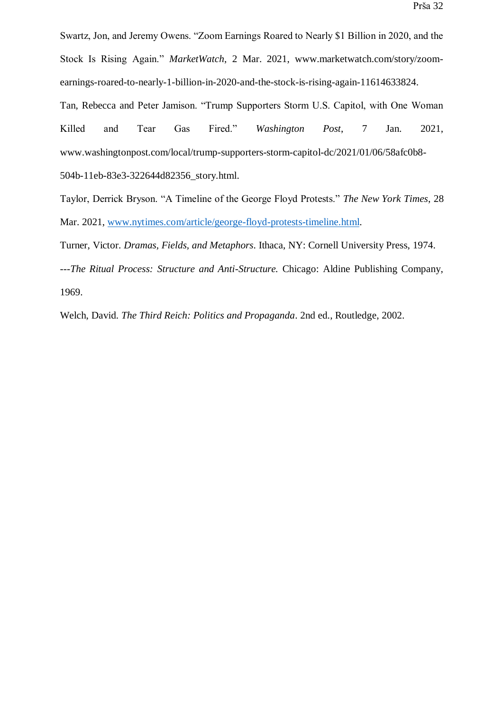Swartz, Jon, and Jeremy Owens. "Zoom Earnings Roared to Nearly \$1 Billion in 2020, and the Stock Is Rising Again." *MarketWatch*, 2 Mar. 2021, www.marketwatch.com/story/zoomearnings-roared-to-nearly-1-billion-in-2020-and-the-stock-is-rising-again-11614633824.

Tan, Rebecca and Peter Jamison. "Trump Supporters Storm U.S. Capitol, with One Woman Killed and Tear Gas Fired." *Washington Post*, 7 Jan. 2021, www.washingtonpost.com/local/trump-supporters-storm-capitol-dc/2021/01/06/58afc0b8- 504b-11eb-83e3-322644d82356\_story.html.

Taylor, Derrick Bryson. "A Timeline of the George Floyd Protests." *The New York Times*, 28 Mar. 2021, [www.nytimes.com/article/george-floyd-protests-timeline.html.](http://www.nytimes.com/article/george-floyd-protests-timeline.html)

Turner, Victor. *Dramas, Fields, and Metaphors*. Ithaca, NY: Cornell University Press, 1974.

---*The Ritual Process: Structure and Anti-Structure.* Chicago: Aldine Publishing Company, 1969.

Welch, David. *The Third Reich: Politics and Propaganda*. 2nd ed., Routledge, 2002.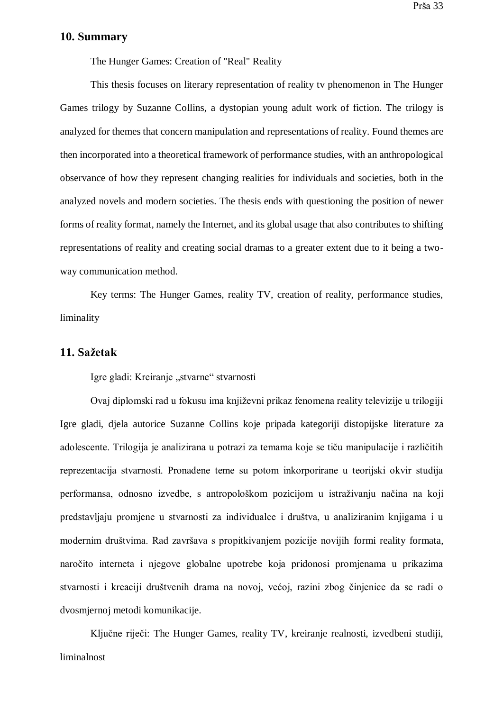#### <span id="page-37-0"></span>**10. Summary**

The Hunger Games: Creation of "Real" Reality

This thesis focuses on literary representation of reality tv phenomenon in The Hunger Games trilogy by Suzanne Collins, a dystopian young adult work of fiction. The trilogy is analyzed for themes that concern manipulation and representations of reality. Found themes are then incorporated into a theoretical framework of performance studies, with an anthropological observance of how they represent changing realities for individuals and societies, both in the analyzed novels and modern societies. The thesis ends with questioning the position of newer forms of reality format, namely the Internet, and its global usage that also contributes to shifting representations of reality and creating social dramas to a greater extent due to it being a twoway communication method.

Key terms: The Hunger Games, reality TV, creation of reality, performance studies, liminality

#### <span id="page-37-1"></span>**11. Sažetak**

Igre gladi: Kreiranje "stvarne" stvarnosti

Ovaj diplomski rad u fokusu ima književni prikaz fenomena reality televizije u trilogiji Igre gladi, djela autorice Suzanne Collins koje pripada kategoriji distopijske literature za adolescente. Trilogija je analizirana u potrazi za temama koje se tiču manipulacije i različitih reprezentacija stvarnosti. Pronađene teme su potom inkorporirane u teorijski okvir studija performansa, odnosno izvedbe, s antropološkom pozicijom u istraživanju načina na koji predstavljaju promjene u stvarnosti za individualce i društva, u analiziranim knjigama i u modernim društvima. Rad završava s propitkivanjem pozicije novijih formi reality formata, naročito interneta i njegove globalne upotrebe koja pridonosi promjenama u prikazima stvarnosti i kreaciji društvenih drama na novoj, većoj, razini zbog činjenice da se radi o dvosmjernoj metodi komunikacije.

Ključne riječi: The Hunger Games, reality TV, kreiranje realnosti, izvedbeni studiji, liminalnost